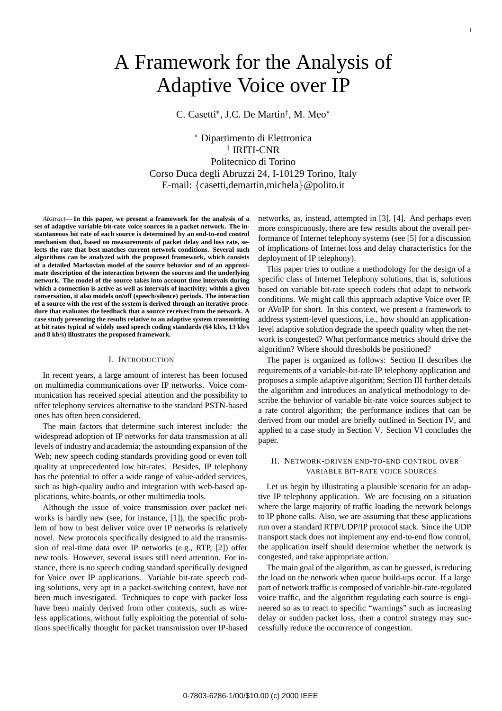# A Framework for the Analysis of Adaptive Voice over IP

C. Casetti\*, J.C. De Martin<sup>†</sup>, M. Meo\*

 Dipartimento di Elettronica † IRITI-CNR Politecnico di Torino Corso Duca degli Abruzzi 24, I-10129 Torino, Italy E-mail:  $\{$  casetti, demartin, michela $\}$  @ polito.it

*Abstract***— In this paper, we present a framework for the analysis of a set of adaptive variable-bit-rate voice sources in a packet network. The instantaneous bit rate of each source is determined by an end-to-end control mechanism that, based on measurements of packet delay and loss rate, selects the rate that best matches current network conditions. Several such algorithms can be analyzed with the proposed framework, which consists of a detailed Markovian model of the source behavior and of an approximate description of the interaction between the sources and the underlying network. The model of the source takes into account time intervals during which a connection is active as well as intervals of inactivity; within a given conversation, it also models on/off (speech/silence) periods. The interaction of a source with the rest of the system is derived through an iterative procedure that evaluates the feedback that a source receives from the network. A case study presenting the results relative to an adaptive system transmitting at bit rates typical of widely used speech coding standards (64 kb/s, 13 kb/s and 8 kb/s) illustrates the proposed framework.**

#### I. INTRODUCTION

In recent years, a large amount of interest has been focused on multimedia communications over IP networks. Voice communication has received special attention and the possibility to offer telephony services alternative to the standard PSTN-based ones has often been considered.

The main factors that determine such interest include: the widespread adoption of IP networks for data transmission at all levels of industry and academia; the astounding expansion of the Web; new speech coding standards providing good or even toll quality at unprecedented low bit-rates. Besides, IP telephony has the potential to offer a wide range of value-added services, such as high-quality audio and integration with web-based applications, white-boards, or other multimedia tools.

Although the issue of voice transmission over packet networks is hardly new (see, for instance, [1]), the specific problem of how to best deliver voice over IP networks is relatively novel. New protocols specifically designed to aid the transmission of real-time data over IP networks (e.g., RTP, [2]) offer new tools. However, several issues still need attention. For instance, there is no speech coding standard specifically designed for Voice over IP applications. Variable bit-rate speech coding solutions, very apt in a packet-switching context, have not been much investigated. Techniques to cope with packet loss have been mainly derived from other contexts, such as wireless applications, without fully exploiting the potential of solutions specifically thought for packet transmission over IP-based

networks, as, instead, attempted in [3], [4]. And perhaps even more conspicuously, there are few results about the overall performance of Internet telephony systems (see [5] for a discussion of implications of Internet loss and delay characteristics for the deployment of IP telephony).

This paper tries to outline a methodology for the design of a specific class of Internet Telephony solutions, that is, solutions based on variable bit-rate speech coders that adapt to network conditions. We might call this approach adaptive Voice over IP, or AVoIP for short. In this context, we present a framework to address system-level questions, i.e., how should an applicationlevel adaptive solution degrade the speech quality when the network is congested? What performance metrics should drive the algorithm? Where should thresholds be positioned?

The paper is organized as follows: Section II describes the requirements of a variable-bit-rate IP telephony application and proposes a simple adaptive algorithm; Section III further details the algorithm and introduces an analytical methodology to describe the behavior of variable bit-rate voice sources subject to a rate control algorithm; the performance indices that can be derived from our model are briefly outlined in Section IV, and applied to a case study in Section V. Section VI concludes the paper.

#### II. NETWORK-DRIVEN END-TO-END CONTROL OVER VARIABLE BIT-RATE VOICE SOURCES

Let us begin by illustrating a plausible scenario for an adaptive IP telephony application. We are focusing on a situation where the large majority of traffic loading the network belongs to IP phone calls. Also, we are assuming that these applications run over a standard RTP/UDP/IP protocol stack. Since the UDP transport stack does not implement any end-to-end flow control, the application itself should determine whether the network is congested, and take appropriate action.

The main goal of the algorithm, as can be guessed, is reducing the load on the network when queue build-ups occur. If a large part of network traffic is composed of variable-bit-rate-regulated voice traffic, and the algorithm regulating each source is engineered so as to react to specific "warnings" such as increasing delay or sudden packet loss, then a control strategy may successfully reduce the occurrence of congestion.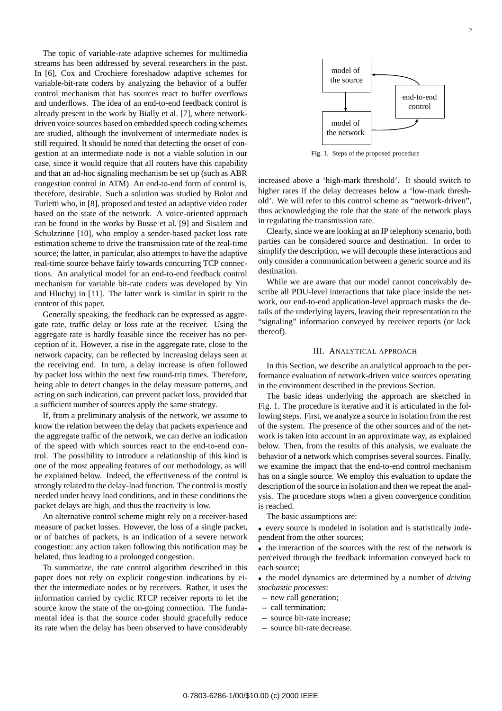The topic of variable-rate adaptive schemes for multimedia streams has been addressed by several researchers in the past. In [6], Cox and Crochiere foreshadow adaptive schemes for variable-bit-rate coders by analyzing the behavior of a buffer control mechanism that has sources react to buffer overflows and underflows. The idea of an end-to-end feedback control is already present in the work by Bially et al. [7], where networkdriven voice sources based on embedded speech coding schemes are studied, although the involvement of intermediate nodes is still required. It should be noted that detecting the onset of congestion at an intermediate node is not a viable solution in our case, since it would require that all routers have this capability and that an ad-hoc signaling mechanism be set up (such as ABR congestion control in ATM). An end-to-end form of control is, therefore, desirable. Such a solution was studied by Bolot and Turletti who, in [8], proposed and tested an adaptive video coder based on the state of the network. A voice-oriented approach can be found in the works by Busse et al. [9] and Sisalem and Schulzrinne [10], who employ a sender-based packet loss rate estimation scheme to drive the transmission rate of the real-time source; the latter, in particular, also attempts to have the adaptive real-time source behave fairly towards concurring TCP connections. An analytical model for an end-to-end feedback control mechanism for variable bit-rate coders was developed by Yin and Hluchyj in [11]. The latter work is similar in spirit to the content of this paper.

Generally speaking, the feedback can be expressed as aggregate rate, traffic delay or loss rate at the receiver. Using the aggregate rate is hardly feasible since the receiver has no perception of it. However, a rise in the aggregate rate, close to the network capacity, can be reflected by increasing delays seen at the receiving end. In turn, a delay increase is often followed by packet loss within the next few round-trip times. Therefore, being able to detect changes in the delay measure patterns, and acting on such indication, can prevent packet loss, provided that a sufficient number of sources apply the same strategy.

If, from a preliminary analysis of the network, we assume to know the relation between the delay that packets experience and the aggregate traffic of the network, we can derive an indication of the speed with which sources react to the end-to-end control. The possibility to introduce a relationship of this kind is one of the most appealing features of our methodology, as will be explained below. Indeed, the effectiveness of the control is strongly related to the delay-load function. The control is mostly needed under heavy load conditions, and in these conditions the packet delays are high, and thus the reactivity is low.

An alternative control scheme might rely on a receiver-based measure of packet losses. However, the loss of a single packet, or of batches of packets, is an indication of a severe network congestion: any action taken following this notification may be belated, thus leading to a prolonged congestion.

To summarize, the rate control algorithm described in this paper does not rely on explicit congestion indications by either the intermediate nodes or by receivers. Rather, it uses the information carried by cyclic RTCP receiver reports to let the source know the state of the on-going connection. The fundamental idea is that the source coder should gracefully reduce its rate when the delay has been observed to have considerably



Fig. 1. Steps of the proposed procedure

increased above a 'high-mark threshold'. It should switch to higher rates if the delay decreases below a 'low-mark threshold'. We will refer to this control scheme as "network-driven", thus acknowledging the role that the state of the network plays in regulating the transmission rate.

Clearly, since we are looking at an IP telephony scenario, both parties can be considered source and destination. In order to simplify the description, we will decouple these interactions and only consider a communication between a generic source and its destination.

While we are aware that our model cannot conceivably describe all PDU-level interactions that take place inside the network, our end-to-end application-level approach masks the details of the underlying layers, leaving their representation to the "signaling" information conveyed by receiver reports (or lack thereof).

### III. ANALYTICAL APPROACH

In this Section, we describe an analytical approach to the performance evaluation of network-driven voice sources operating in the environment described in the previous Section.

The basic ideas underlying the approach are sketched in Fig. 1. The procedure is iterative and it is articulated in the following steps. First, we analyze a source in isolation from the rest of the system. The presence of the other sources and of the network is taken into account in an approximate way, as explained below. Then, from the results of this analysis, we evaluate the behavior of a network which comprises several sources. Finally, we examine the impact that the end-to-end control mechanism has on a single source. We employ this evaluation to update the description of the source in isolation and then we repeat the analysis. The procedure stops when a given convergence condition is reached.

The basic assumptions are:

 every source is modeled in isolation and is statistically independent from the other sources;

• the interaction of the sources with the rest of the network is perceived through the feedback information conveyed back to each source;

 the model dynamics are determined by a number of *driving stochastic processes*:

- **–** new call generation;
- **–** call termination;
- **–** source bit-rate increase;
- **–** source bit-rate decrease.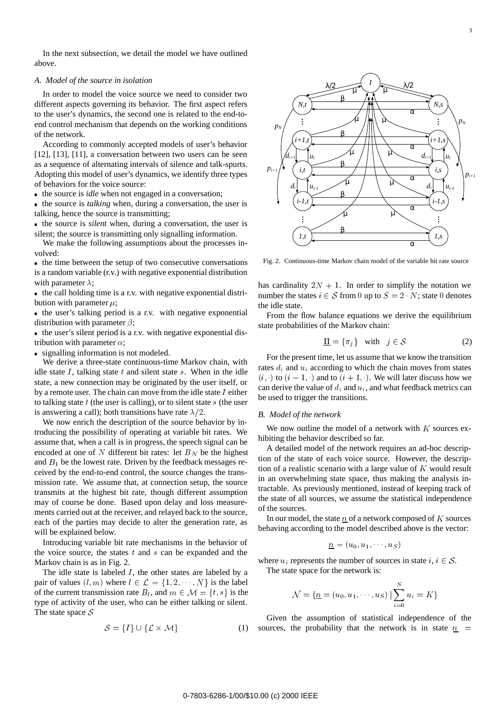In the next subsection, we detail the model we have outlined above.

## *A. Model of the source in isolation*

In order to model the voice source we need to consider two different aspects governing its behavior. The first aspect refers to the user's dynamics, the second one is related to the end-toend control mechanism that depends on the working conditions of the network.

According to commonly accepted models of user's behavior [12], [13], [11], a conversation between two users can be seen as a sequence of alternating intervals of silence and talk-spurts. Adopting this model of user's dynamics, we identify three types of behaviors for the voice source:

• the source is *idle* when not engaged in a conversation;

• the source is *talking* when, during a conversation, the user is talking, hence the source is transmitting;

• the source is *silent* when, during a conversation, the user is silent; the source is transmitting only signalling information.

We make the following assumptions about the processes involved:

• the time between the setup of two consecutive conversations is a random variable (r.v.) with negative exponential distribution with parameter  $\lambda$ ;

• the call holding time is a r.v. with negative exponential distribution with parameter  $\mu$ ;

• the user's talking period is a r.v. with negative exponential distribution with parameter  $\beta$ ;

• the user's silent period is a r.v. with negative exponential distribution with parameter  $\alpha$ ;

• signalling information is not modeled.

We derive a three-state continuous-time Markov chain, with idle state  $I$ , talking state  $t$  and silent state  $s$ . When in the idle state, a new connection may be originated by the user itself, or by a remote user. The chain can move from the idle state  $I$  either to talking state  $t$  (the user is calling), or to silent state  $s$  (the user is answering a call); both transitions have rate  $\lambda/2$ .

We now enrich the description of the source behavior by introducing the possibility of operating at variable bit rates. We assume that, when a call is in progress, the speech signal can be encoded at one of N different bit rates: let  $B<sub>N</sub>$  be the highest and  $B_1$  be the lowest rate. Driven by the feedback messages received by the end-to-end control, the source changes the transmission rate. We assume that, at connection setup, the source transmits at the highest bit rate, though different assumption may of course be done. Based upon delay and loss measurements carried out at the receiver, and relayed back to the source, each of the parties may decide to alter the generation rate, as will be explained below.

Introducing variable bit rate mechanisms in the behavior of the voice source, the states  $t$  and  $s$  can be expanded and the Markov chain is as in Fig. 2.

The idle state is labeled  $I$ , the other states are labeled by a pair of values  $(l, m)$  where  $l \in \mathcal{L} = \{1, 2, \dots, N\}$  is the label of the current transmission rate  $B_l$ , and  $m \in \mathcal{M} = \{t, s\}$  is the type of activity of the user, who can be either talking or silent. The state space  $S$ 

$$
\mathcal{S} = \{I\} \cup \{\mathcal{L} \times \mathcal{M}\}\tag{1}
$$



Fig. 2. Continuous-time Markov chain model of the variable bit rate source

has cardinality  $2N + 1$ . In order to simplify the notation we number the states  $i \in S$  from 0 up to  $S = 2 \cdot N$ ; state 0 denotes the idle state.

From the flow balance equations we derive the equilibrium state probabilities of the Markov chain:

$$
\underline{\Pi} = \{\pi_j\} \quad \text{with} \quad j \in \mathcal{S} \tag{2}
$$

For the present time, let us assume that we know the transition rates  $d_i$  and  $u_i$  according to which the chain moves from states  $(i, \cdot)$  to  $(i - 1, \cdot)$  and to  $(i + 1, \cdot)$ . We will later discuss how we can derive the value of  $d_i$  and  $u_i$ , and what feedback metrics can be used to trigger the transitions.

#### *B. Model of the network*

We now outline the model of a network with  $K$  sources exhibiting the behavior described so far.

A detailed model of the network requires an ad-hoc description of the state of each voice source. However, the description of a realistic scenario with a large value of  $K$  would result in an overwhelming state space, thus making the analysis intractable. As previously mentioned, instead of keeping track of the state of all sources, we assume the statistical independence of the sources.

In our model, the state  $n$  of a network composed of  $K$  sources behaving according to the model described above is the vector:

$$
\underline{n}=(u_0,u_1,\cdots,u_S)
$$

where  $u_i$  represents the number of sources in state  $i, i \in S$ . The state space for the network is:

$$
\mathcal{N} = \{ \underline{n} = (u_0, u_1, \cdots, u_S) \mid \sum_{i=0}^{S} u_i = K \}
$$

Given the assumption of statistical independence of the sources, the probability that the network is in state  $n =$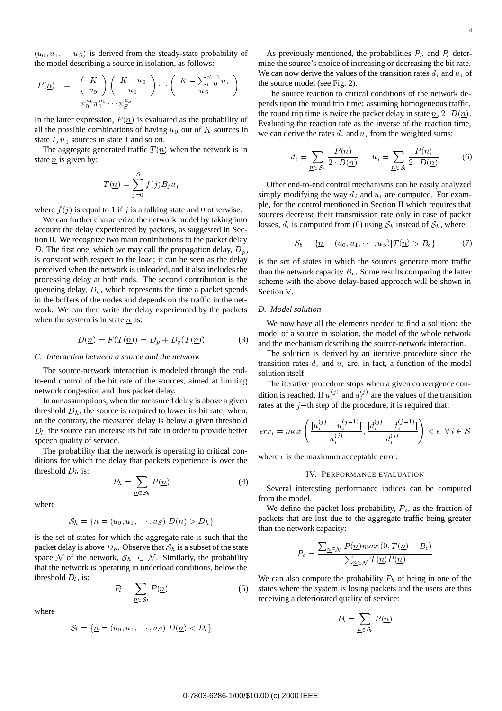$(u_0, u_1, \dots, u_S)$  is derived from the steady-state probability of the model describing a source in isolation, as follows:

$$
P(\underline{n}) = \begin{pmatrix} K \\ u_0 \end{pmatrix} \begin{pmatrix} K - u_0 \\ u_1 \end{pmatrix} \cdots \begin{pmatrix} K - \sum_{i=0}^{S-1} u_i \\ u_S \end{pmatrix}.
$$

$$
\pi_0^{u_0} \pi_1^{u_1} \cdots \pi_S^{u_S}
$$

In the latter expression,  $P(n)$  is evaluated as the probability of all the possible combinations of having  $u_0$  out of K sources in state  $I, u_1$  sources in state 1 and so on.

The aggregate generated traffic  $T(n)$  when the network is in state  $\underline{n}$  is given by:

$$
T(\underline{n}) = \sum_{j=0}^{S} f(j) B_j u_j
$$

where  $f(j)$  is equal to 1 if j is a talking state and 0 otherwise.

We can further characterize the network model by taking into account the delay experienced by packets, as suggested in Section II. We recognize two main contributions to the packet delay D. The first one, which we may call the propagation delay,  $D_p$ , is constant with respect to the load; it can be seen as the delay perceived when the network is unloaded, and it also includes the processing delay at both ends. The second contribution is the queueing delay,  $D_q$ , which represents the time a packet spends in the buffers of the nodes and depends on the traffic in the network. We can then write the delay experienced by the packets when the system is in state  $n$  as:

$$
D(\underline{n}) = F(T(\underline{n})) = D_p + D_q(T(\underline{n})) \tag{3}
$$

#### *C. Interaction between a source and the network*

The source-network interaction is modeled through the endto-end control of the bit rate of the sources, aimed at limiting network congestion and thus packet delay.

In our assumptions, when the measured delay is above a given threshold  $D<sub>h</sub>$ , the source is required to lower its bit rate; when, on the contrary, the measured delay is below a given threshold  $D_l$ , the source can increase its bit rate in order to provide better speech quality of service.

The probability that the network is operating in critical conditions for which the delay that packets experience is over the threshold  $D_h$  is:

$$
P_h = \sum_{\underline{n} \in \mathcal{S}_h} P(\underline{n}) \tag{4}
$$

where

$$
\mathcal{S}_h = \{ \underline{n} = (u_0, u_1, \cdots, u_S) | D(\underline{n}) > D_h \}
$$

is the set of states for which the aggregate rate is such that the packet delay is above  $D_h$ . Observe that  $S_h$  is a subset of the state space N of the network,  $S_h \subset N$ . Similarly, the probability that the network is operating in underload conditions, below the threshold  $D<sub>l</sub>$ , is:

$$
P_l = \sum_{n \in \mathcal{S}_l} P(\underline{n}) \tag{5}
$$

where

$$
\mathcal{S}_l = \{ \underline{n} = (u_0, u_1, \cdots, u_S) | D(\underline{n}) < D_l \}
$$

 $\left( \sum_{i=0}^{S-1} u_i \right)$  the source model (see Fig. 2). As previously mentioned, the probabilities  $P_h$  and  $P_l$  determine the source's choice of increasing or decreasing the bit rate. We can now derive the values of the transition rates  $d_i$  and  $u_i$  of

The source reaction to critical conditions of the network depends upon the round trip time: assuming homogeneous traffic, the round trip time is twice the packet delay in state  $n, 2 \cdot D(n)$ . Evaluating the reaction rate as the inverse of the reaction time, we can derive the rates  $d_i$  and  $u_i$  from the weighted sums:

$$
d_i = \sum_{\underline{n} \in \mathcal{S}_h} \frac{P(\underline{n})}{2 \cdot D(\underline{n})} \qquad u_i = \sum_{\underline{n} \in \mathcal{S}_i} \frac{P(\underline{n})}{2 \cdot D(\underline{n})} \tag{6}
$$

Other end-to-end control mechanisms can be easily analyzed simply modifying the way  $d_i$  and  $u_i$  are computed. For example, for the control mentioned in Section II which requires that sources decrease their transmission rate only in case of packet losses,  $d_i$  is computed from (6) using  $S_b$  instead of  $S_h$ , where:

$$
S_b = \{ \underline{n} = (u_0, u_1, \cdots, u_S) | T(\underline{n}) > B_c \} \tag{7}
$$

is the set of states in which the sources generate more traffic than the network capacity  $B<sub>c</sub>$ . Some results comparing the latter scheme with the above delay-based approach will be shown in Section V.

## *D. Model solution*

We now have all the elements needed to find a solution: the model of a source in isolation, the model of the whole network and the mechanism describing the source-network interaction.

The solution is derived by an iterative procedure since the transition rates  $d_i$  and  $u_i$  are, in fact, a function of the model solution itself.

The iterative procedure stops when a given convergence condition is reached. If  $u_i^{(j)}$  and  $d_i^{(j)}$  are the values of the transition rates at the  $j$ -th step of the procedure, it is required that:

$$
err_i = max\left(\frac{|u_i^{(j)} - u_i^{(j-1)}|}{u_i^{(j)}}, \frac{|d_i^{(j)} - d_i^{(j-1)}|}{d_i^{(j)}}\right) < \epsilon \ \forall \ i \in \mathcal{S}
$$

where  $\epsilon$  is the maximum acceptable error.

#### IV. PERFORMANCE EVALUATION

Several interesting performance indices can be computed from the model.

We define the packet loss probability,  $P_c$ , as the fraction of packets that are lost due to the aggregate traffic being greater than the network capacity:

$$
P_c = \frac{\sum_{n \in \mathcal{N}} P(n) max (0, T(n) - B_c)}{\sum_{n \in \mathcal{N}} T(n) P(n)}
$$

We can also compute the probability  $P_b$  of being in one of the states where the system is losing packets and the users are thus receiving a deteriorated quality of service:

$$
P_b = \sum_{\underline{n} \in \mathcal{S}_b} P(\underline{n})
$$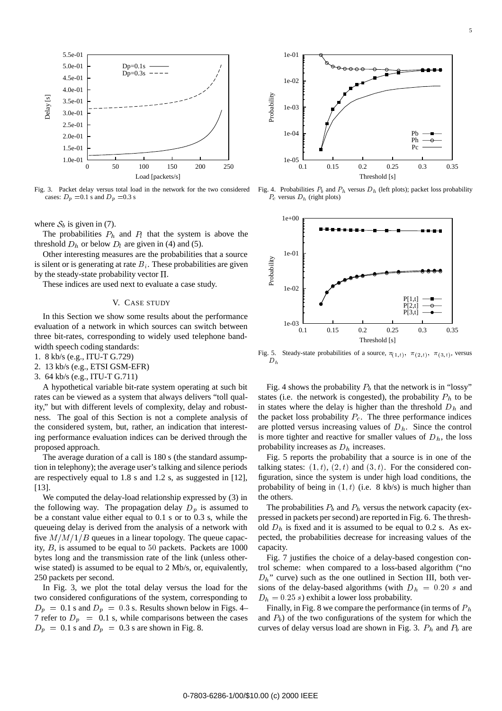

Fig. 3. Packet delay versus total load in the network for the two considered cases:  $D_p = 0.1$  s and  $D_p = 0.3$  s

where  $S_b$  is given in (7).

The probabilities  $P_h$  and  $P_l$  that the system is above the threshold  $D_h$  or below  $D_l$  are given in (4) and (5).

Other interesting measures are the probabilities that a source is silent or is generating at rate  $B_i$ . These probabilities are given by the steady-state probability vector  $\Pi$ .

These indices are used next to evaluate a case study.

## V. CASE STUDY

In this Section we show some results about the performance evaluation of a network in which sources can switch between three bit-rates, corresponding to widely used telephone bandwidth speech coding standards:

- 1. 8 kb/s (e.g., ITU-T G.729)
- 2. 13 kb/s (e.g., ETSI GSM-EFR)
- 3. 64 kb/s (e.g., ITU-T G.711)

A hypothetical variable bit-rate system operating at such bit rates can be viewed as a system that always delivers "toll quality," but with different levels of complexity, delay and robustness. The goal of this Section is not a complete analysis of the considered system, but, rather, an indication that interesting performance evaluation indices can be derived through the proposed approach.

The average duration of a call is 180 s (the standard assumption in telephony); the average user's talking and silence periods are respectively equal to 1.8 s and 1.2 s, as suggested in [12], [13].

We computed the delay-load relationship expressed by (3) in the following way. The propagation delay  $D_p$  is assumed to be a constant value either equal to 0.1 s or to 0.3 s, while the queueing delay is derived from the analysis of a network with five  $M/M/1/B$  queues in a linear topology. The queue capacity, <sup>B</sup>, is assumed to be equal to <sup>50</sup> packets. Packets are 1000 bytes long and the transmission rate of the link (unless otherwise stated) is assumed to be equal to 2 Mb/s, or, equivalently, 250 packets per second.

In Fig. 3, we plot the total delay versus the load for the two considered configurations of the system, corresponding to  $D_p = 0.1$  s and  $D_p = 0.3$  s. Results shown below in Figs. 4– 7 refer to  $D_p = 0.1$  s, while comparisons between the cases  $D_p = 0.1$  s and  $D_p = 0.3$  s are shown in Fig. 8.



Fig. 4. Probabilities  $P_b$  and  $P_h$  versus  $D_h$  (left plots); packet loss probability  $P_c$  versus  $D_h$  (right plots)



Fig. 5. Steady-state probabilities of a source,  $\pi_{(1,t)}$ ,  $\pi_{(2,t)}$ ,  $\pi_{(3,t)}$ , versus  $D_h$ 

Fig. 4 shows the probability  $P_b$  that the network is in "lossy" states (i.e. the network is congested), the probability  $P<sub>h</sub>$  to be in states where the delay is higher than the threshold  $D<sub>h</sub>$  and the packet loss probability  $P_c$ . The three performance indices are plotted versus increasing values of  $D<sub>h</sub>$ . Since the control is more tighter and reactive for smaller values of  $D<sub>h</sub>$ , the loss probability increases as  $D<sub>h</sub>$  increases.

Fig. 5 reports the probability that a source is in one of the talking states:  $(1, t)$ ,  $(2, t)$  and  $(3, t)$ . For the considered configuration, since the system is under high load conditions, the probability of being in  $(1, t)$  (i.e. 8 kb/s) is much higher than the others.

The probabilities  $P_b$  and  $P_h$  versus the network capacity (expressed in packets per second) are reported in Fig. 6. The threshold  $D_h$  is fixed and it is assumed to be equal to 0.2 s. As expected, the probabilities decrease for increasing values of the capacity.

Fig. 7 justifies the choice of a delay-based congestion control scheme: when compared to a loss-based algorithm ("no  $D_h$ " curve) such as the one outlined in Section III, both versions of the delay-based algorithms (with  $D_h = 0.20 s$  and  $D_h = 0.25$  s) exhibit a lower loss probability.

Finally, in Fig. 8 we compare the performance (in terms of  $P_h$ ) and  $P_b$ ) of the two configurations of the system for which the curves of delay versus load are shown in Fig. 3.  $P_h$  and  $P_b$  are